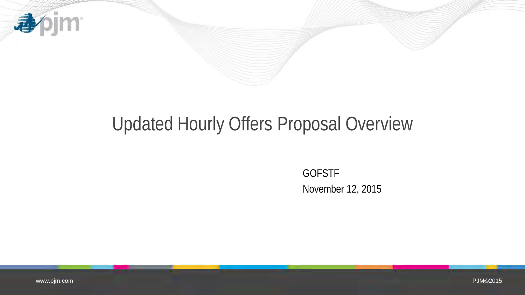

# Updated Hourly Offers Proposal Overview

GOFSTF November 12, 2015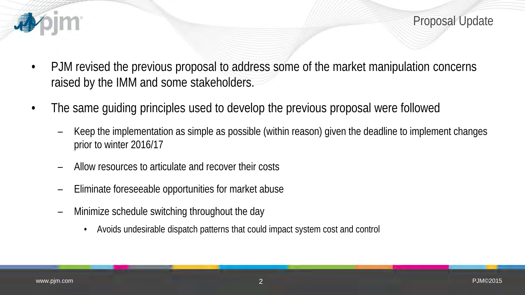

Proposal Update

- PJM revised the previous proposal to address some of the market manipulation concerns raised by the IMM and some stakeholders.
- The same guiding principles used to develop the previous proposal were followed
	- Keep the implementation as simple as possible (within reason) given the deadline to implement changes prior to winter 2016/17
	- Allow resources to articulate and recover their costs
	- Eliminate foreseeable opportunities for market abuse
	- Minimize schedule switching throughout the day
		- Avoids undesirable dispatch patterns that could impact system cost and control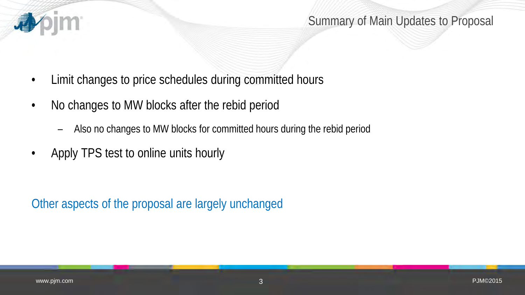

- Limit changes to price schedules during committed hours
- No changes to MW blocks after the rebid period
	- Also no changes to MW blocks for committed hours during the rebid period
- Apply TPS test to online units hourly

Other aspects of the proposal are largely unchanged

**IM**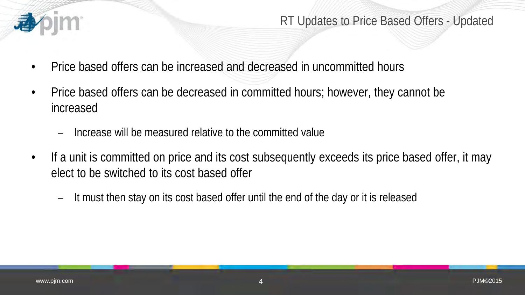

#### RT Updates to Price Based Offers - Updated

- Price based offers can be increased and decreased in uncommitted hours
- Price based offers can be decreased in committed hours; however, they cannot be increased
	- Increase will be measured relative to the committed value
- If a unit is committed on price and its cost subsequently exceeds its price based offer, it may elect to be switched to its cost based offer
	- It must then stay on its cost based offer until the end of the day or it is released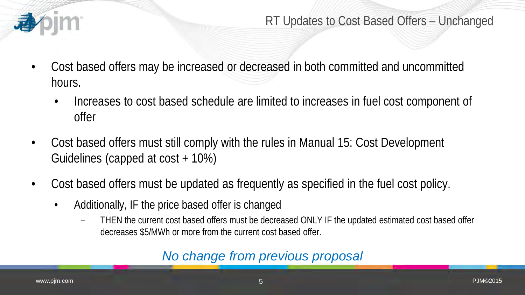

RT Updates to Cost Based Offers – Unchanged

- Cost based offers may be increased or decreased in both committed and uncommitted hours.
	- Increases to cost based schedule are limited to increases in fuel cost component of offer
- Cost based offers must still comply with the rules in Manual 15: Cost Development Guidelines (capped at cost + 10%)
- Cost based offers must be updated as frequently as specified in the fuel cost policy.
	- Additionally, IF the price based offer is changed
		- THEN the current cost based offers must be decreased ONLY IF the updated estimated cost based offer decreases \$5/MWh or more from the current cost based offer.

### *No change from previous proposal*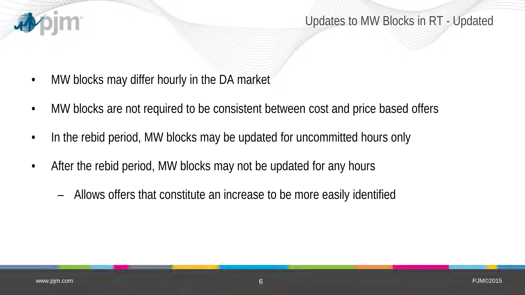

- MW blocks may differ hourly in the DA market
- MW blocks are not required to be consistent between cost and price based offers
- In the rebid period, MW blocks may be updated for uncommitted hours only
- After the rebid period, MW blocks may not be updated for any hours
	- Allows offers that constitute an increase to be more easily identified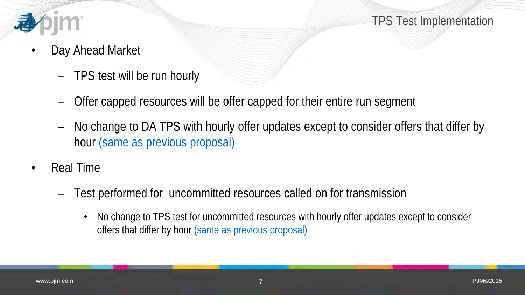

TPS Test Implementation

- Day Ahead Market
	- TPS test will be run hourly
	- Offer capped resources will be offer capped for their entire run segment
	- No change to DA TPS with hourly offer updates except to consider offers that differ by hour (same as previous proposal)
- Real Time
	- Test performed for uncommitted resources called on for transmission
		- No change to TPS test for uncommitted resources with hourly offer updates except to consider offers that differ by hour (same as previous proposal)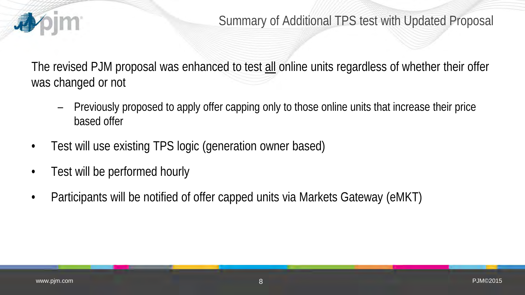

The revised PJM proposal was enhanced to test all online units regardless of whether their offer was changed or not

- Previously proposed to apply offer capping only to those online units that increase their price based offer
- Test will use existing TPS logic (generation owner based)
- Test will be performed hourly
- Participants will be notified of offer capped units via Markets Gateway (eMKT)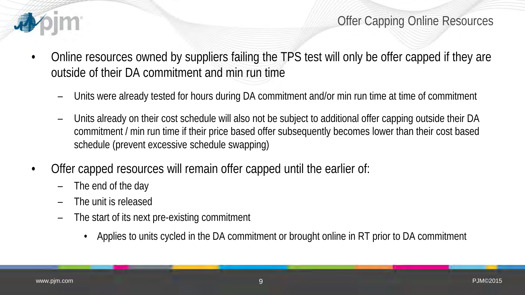

Offer Capping Online Resources

- Online resources owned by suppliers failing the TPS test will only be offer capped if they are outside of their DA commitment and min run time
	- Units were already tested for hours during DA commitment and/or min run time at time of commitment
	- Units already on their cost schedule will also not be subject to additional offer capping outside their DA commitment / min run time if their price based offer subsequently becomes lower than their cost based schedule (prevent excessive schedule swapping)
- Offer capped resources will remain offer capped until the earlier of:
	- The end of the day
	- The unit is released
	- The start of its next pre-existing commitment
		- Applies to units cycled in the DA commitment or brought online in RT prior to DA commitment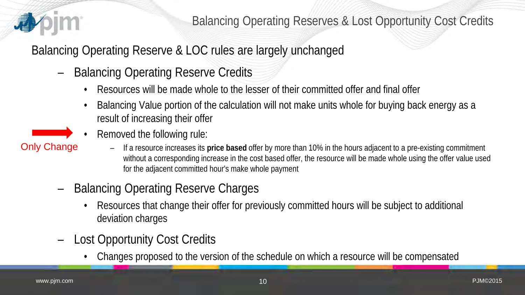

Balancing Operating Reserve & LOC rules are largely unchanged

- Balancing Operating Reserve Credits
	- Resources will be made whole to the lesser of their committed offer and final offer
	- Balancing Value portion of the calculation will not make units whole for buying back energy as a result of increasing their offer
	- Removed the following rule:
- Only Change
- If a resource increases its **price based** offer by more than 10% in the hours adjacent to a pre-existing commitment without a corresponding increase in the cost based offer, the resource will be made whole using the offer value used for the adjacent committed hour's make whole payment
- Balancing Operating Reserve Charges
	- Resources that change their offer for previously committed hours will be subject to additional deviation charges
- Lost Opportunity Cost Credits
	- Changes proposed to the version of the schedule on which a resource will be compensated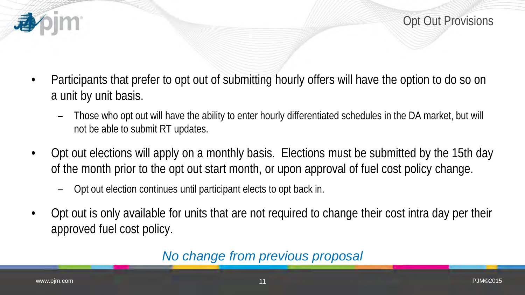

- Participants that prefer to opt out of submitting hourly offers will have the option to do so on a unit by unit basis.
	- Those who opt out will have the ability to enter hourly differentiated schedules in the DA market, but will not be able to submit RT updates.
- Opt out elections will apply on a monthly basis. Elections must be submitted by the 15th day of the month prior to the opt out start month, or upon approval of fuel cost policy change.
	- Opt out election continues until participant elects to opt back in.
- Opt out is only available for units that are not required to change their cost intra day per their approved fuel cost policy.

#### *No change from previous proposal*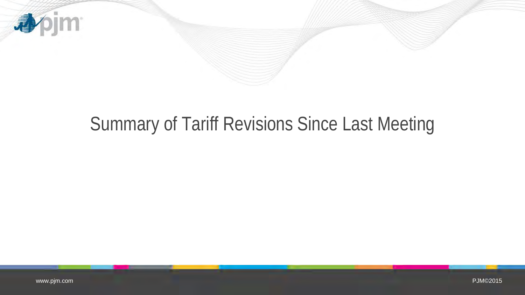

# Summary of Tariff Revisions Since Last Meeting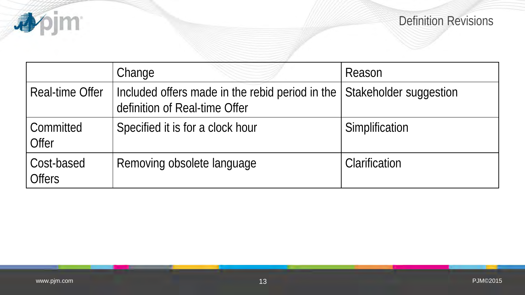

|                             | Change                                                                                                  | Reason         |
|-----------------------------|---------------------------------------------------------------------------------------------------------|----------------|
| <b>Real-time Offer</b>      | Included offers made in the rebid period in the Stakeholder suggestion<br>definition of Real-time Offer |                |
| Committed<br>Offer          | Specified it is for a clock hour                                                                        | Simplification |
| Cost-based<br><b>Offers</b> | Removing obsolete language                                                                              | Clarification  |

**a**pjm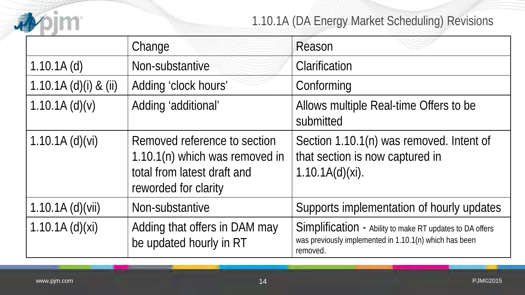

### 1.10.1A (DA Energy Market Scheduling) Revisions

|                       | Change                                                                                                                | Reason                                                                                                                         |
|-----------------------|-----------------------------------------------------------------------------------------------------------------------|--------------------------------------------------------------------------------------------------------------------------------|
| $1.10.1A$ (d)         | Non-substantive                                                                                                       | Clarification                                                                                                                  |
| 1.10.1A (d)(i) & (ii) | Adding 'clock hours'                                                                                                  | Conforming                                                                                                                     |
| 1.10.1A(d)(v)         | Adding 'additional'                                                                                                   | Allows multiple Real-time Offers to be<br>submitted                                                                            |
| $1.10.1A$ (d)(vi)     | Removed reference to section<br>1.10.1(n) which was removed in<br>total from latest draft and<br>reworded for clarity | Section 1.10.1(n) was removed. Intent of<br>that section is now captured in<br>1.10.1A(d)(xi).                                 |
| $1.10.1A$ (d)(vii)    | Non-substantive                                                                                                       | Supports implementation of hourly updates                                                                                      |
| 1.10.1A(d)(xi)        | Adding that offers in DAM may<br>be updated hourly in RT                                                              | Simplification - Ability to make RT updates to DA offers<br>was previously implemented in 1.10.1(n) which has been<br>removed. |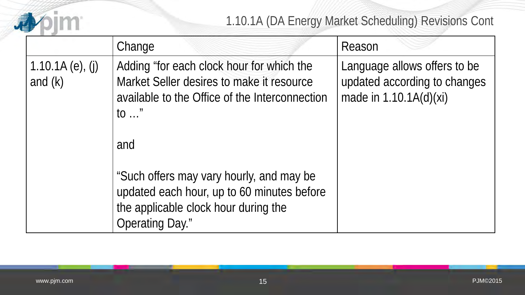

1.10.1A (DA Energy Market Scheduling) Revisions Cont

|                                  | Change                                                                                                                                                              | Reason                                                                                   |
|----------------------------------|---------------------------------------------------------------------------------------------------------------------------------------------------------------------|------------------------------------------------------------------------------------------|
| 1.10.1A $(e)$ , (j)<br>and $(k)$ | Adding "for each clock hour for which the<br>Market Seller desires to make it resource<br>available to the Office of the Interconnection<br>$\mathfrak{g}$ "<br>and | Language allows offers to be<br>updated according to changes<br>made in $1.10.1A(d)(xi)$ |
|                                  | "Such offers may vary hourly, and may be<br>updated each hour, up to 60 minutes before<br>the applicable clock hour during the<br><b>Operating Day."</b>            |                                                                                          |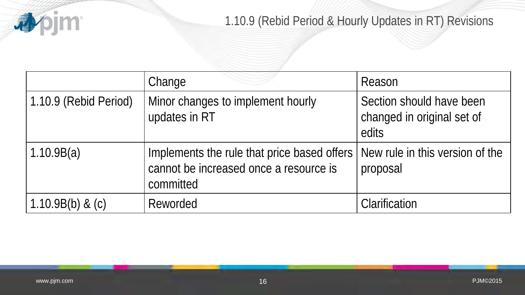

### 1.10.9 (Rebid Period & Hourly Updates in RT) Revisions

|                       | Change                                                                                             | Reason                                                          |
|-----------------------|----------------------------------------------------------------------------------------------------|-----------------------------------------------------------------|
| 1.10.9 (Rebid Period) | Minor changes to implement hourly<br>updates in RT                                                 | Section should have been<br>changed in original set of<br>edits |
| 1.10.9B(a)            | Implements the rule that price based offers<br>cannot be increased once a resource is<br>committed | New rule in this version of the<br>proposal                     |
| $1.10.9B(b)$ & (c)    | Reworded                                                                                           | Clarification                                                   |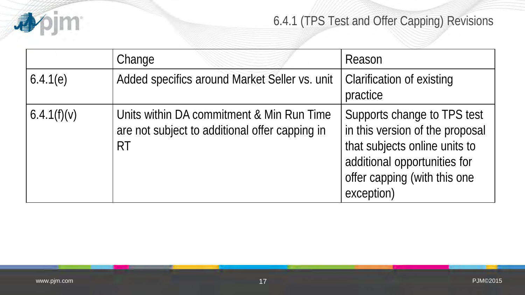

### 6.4.1 (TPS Test and Offer Capping) Revisions

|             | Change                                                                                                   | Reason                                                                                                                                                                        |
|-------------|----------------------------------------------------------------------------------------------------------|-------------------------------------------------------------------------------------------------------------------------------------------------------------------------------|
| 6.4.1(e)    | Added specifics around Market Seller vs. unit                                                            | Clarification of existing<br>practice                                                                                                                                         |
| 6.4.1(f)(v) | Units within DA commitment & Min Run Time<br>are not subject to additional offer capping in<br><b>RT</b> | Supports change to TPS test<br>in this version of the proposal<br>that subjects online units to<br>additional opportunities for<br>offer capping (with this one<br>exception) |